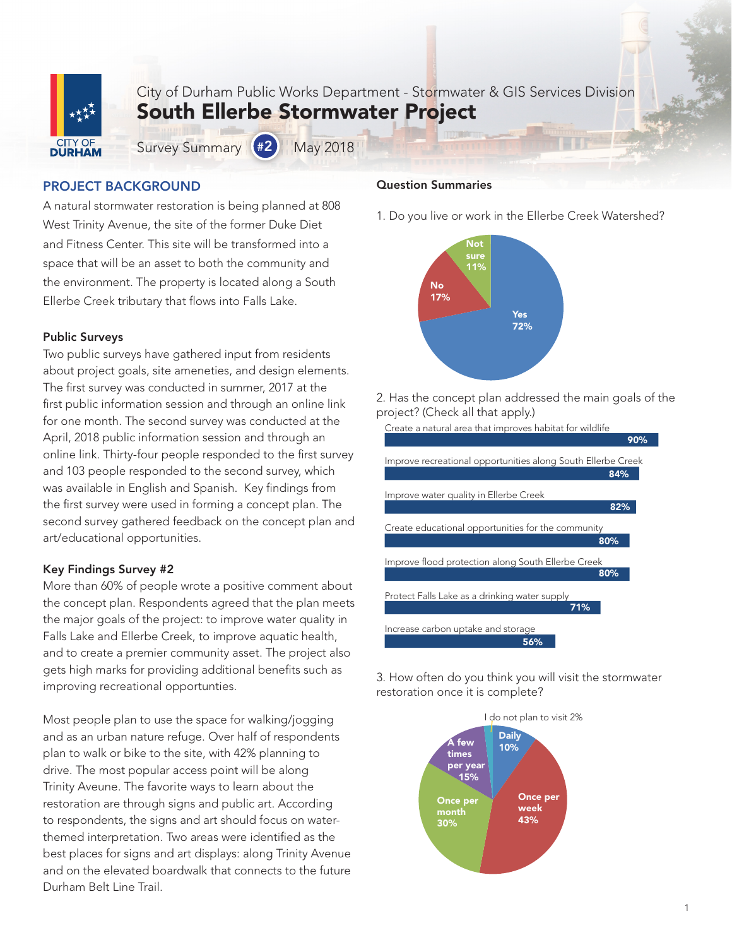

City of Durham Public Works Department - Stormwater & GIS Services Division South Ellerbe Stormwater Project

Survey Summary (#2) May 2018

# PROJECT BACKGROUND

A natural stormwater restoration is being planned at 808 West Trinity Avenue, the site of the former Duke Diet and Fitness Center. This site will be transformed into a space that will be an asset to both the community and the environment. The property is located along a South Ellerbe Creek tributary that flows into Falls Lake.

### Public Surveys

Two public surveys have gathered input from residents about project goals, site ameneties, and design elements. The first survey was conducted in summer, 2017 at the first public information session and through an online link for one month. The second survey was conducted at the April, 2018 public information session and through an online link. Thirty-four people responded to the first survey and 103 people responded to the second survey, which was available in English and Spanish. Key findings from the first survey were used in forming a concept plan. The second survey gathered feedback on the concept plan and art/educational opportunities.

## Key Findings Survey #2

More than 60% of people wrote a positive comment about the concept plan. Respondents agreed that the plan meets the major goals of the project: to improve water quality in Falls Lake and Ellerbe Creek, to improve aquatic health, and to create a premier community asset. The project also gets high marks for providing additional benefits such as improving recreational opportunties.

Most people plan to use the space for walking/jogging and as an urban nature refuge. Over half of respondents plan to walk or bike to the site, with 42% planning to drive. The most popular access point will be along Trinity Aveune. The favorite ways to learn about the restoration are through signs and public art. According to respondents, the signs and art should focus on waterthemed interpretation. Two areas were identified as the best places for signs and art displays: along Trinity Avenue and on the elevated boardwalk that connects to the future Durham Belt Line Trail.

#### Question Summaries

1. Do you live or work in the Ellerbe Creek Watershed?



2. Has the concept plan addressed the main goals of the project? (Check all that apply.)



3. How often do you think you will visit the stormwater restoration once it is complete?